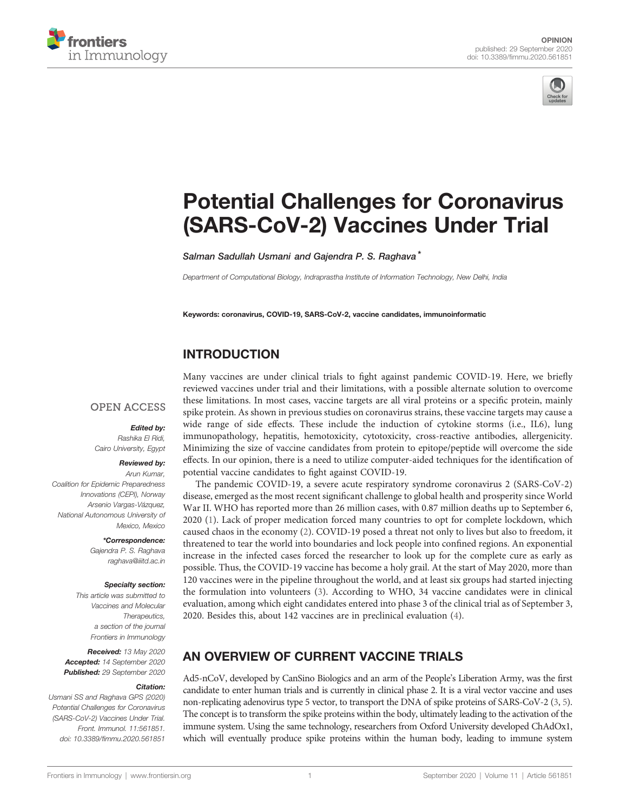



# [Potential Challenges for Coronavirus](https://www.frontiersin.org/articles/10.3389/fimmu.2020.561851/full) [\(SARS-CoV-2\) Vaccines Under Trial](https://www.frontiersin.org/articles/10.3389/fimmu.2020.561851/full)

Salman Sadullah Usmani and Gajendra P. S. Raghava<sup>\*</sup>

Department of Computational Biology, Indraprastha Institute of Information Technology, New Delhi, India

Keywords: coronavirus, COVID-19, SARS-CoV-2, vaccine candidates, immunoinformatic

### INTRODUCTION

#### **OPEN ACCESS**

Edited by:

Rashika El Ridi, Cairo University, Egypt

#### Reviewed by:

Arun Kumar, Coalition for Epidemic Preparedness Innovations (CEPI), Norway Arsenio Vargas-Vázquez, National Autonomous University of Mexico, Mexico

> \*Correspondence: Gajendra P. S. Raghava [raghava@iiitd.ac.in](mailto:raghava@iiitd.ac.in)

#### Specialty section:

This article was submitted to Vaccines and Molecular Therapeutics, a section of the journal Frontiers in Immunology

Received: 13 May 2020 Accepted: 14 September 2020 Published: 29 September 2020

#### Citation:

Usmani SS and Raghava GPS (2020) Potential Challenges for Coronavirus (SARS-CoV-2) Vaccines Under Trial. Front. Immunol. 11:561851. doi: 10.3389/fi[mmu.2020.561851](https://doi.org/10.3389/fimmu.2020.561851) Many vaccines are under clinical trials to fight against pandemic COVID-19. Here, we briefly reviewed vaccines under trial and their limitations, with a possible alternate solution to overcome these limitations. In most cases, vaccine targets are all viral proteins or a specific protein, mainly spike protein. As shown in previous studies on coronavirus strains, these vaccine targets may cause a wide range of side effects. These include the induction of cytokine storms (i.e., IL6), lung immunopathology, hepatitis, hemotoxicity, cytotoxicity, cross-reactive antibodies, allergenicity. Minimizing the size of vaccine candidates from protein to epitope/peptide will overcome the side effects. In our opinion, there is a need to utilize computer-aided techniques for the identification of potential vaccine candidates to fight against COVID-19.

The pandemic COVID-19, a severe acute respiratory syndrome coronavirus 2 (SARS-CoV-2) disease, emerged as the most recent significant challenge to global health and prosperity since World War II. WHO has reported more than 26 million cases, with 0.87 million deaths up to September 6, 2020 [\(1\)](#page-3-0). Lack of proper medication forced many countries to opt for complete lockdown, which caused chaos in the economy [\(2\)](#page-3-0). COVID-19 posed a threat not only to lives but also to freedom, it threatened to tear the world into boundaries and lock people into confined regions. An exponential increase in the infected cases forced the researcher to look up for the complete cure as early as possible. Thus, the COVID-19 vaccine has become a holy grail. At the start of May 2020, more than 120 vaccines were in the pipeline throughout the world, and at least six groups had started injecting the formulation into volunteers [\(3\)](#page-3-0). According to WHO, 34 vaccine candidates were in clinical evaluation, among which eight candidates entered into phase 3 of the clinical trial as of September 3, 2020. Besides this, about 142 vaccines are in preclinical evaluation ([4](#page-3-0)).

#### AN OVERVIEW OF CURRENT VACCINE TRIALS

Ad5-nCoV, developed by CanSino Biologics and an arm of the People's Liberation Army, was the first candidate to enter human trials and is currently in clinical phase 2. It is a viral vector vaccine and uses non-replicating adenovirus type 5 vector, to transport the DNA of spike proteins of SARS-CoV-2 [\(3](#page-3-0), [5\)](#page-3-0). The concept is to transform the spike proteins within the body, ultimately leading to the activation of the immune system. Using the same technology, researchers from Oxford University developed ChAdOx1, which will eventually produce spike proteins within the human body, leading to immune system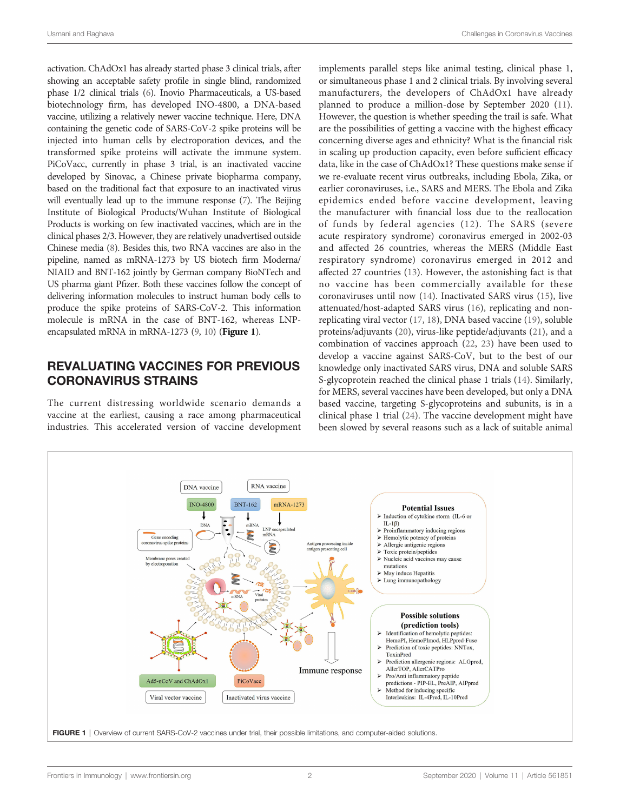<span id="page-1-0"></span>activation. ChAdOx1 has already started phase 3 clinical trials, after showing an acceptable safety profile in single blind, randomized phase 1/2 clinical trials [\(6\)](#page-3-0). Inovio Pharmaceuticals, a US-based biotechnology firm, has developed INO-4800, a DNA-based vaccine, utilizing a relatively newer vaccine technique. Here, DNA containing the genetic code of SARS-CoV-2 spike proteins will be injected into human cells by electroporation devices, and the transformed spike proteins will activate the immune system. PiCoVacc, currently in phase 3 trial, is an inactivated vaccine developed by Sinovac, a Chinese private biopharma company, based on the traditional fact that exposure to an inactivated virus will eventually lead up to the immune response [\(7](#page-3-0)). The Beijing Institute of Biological Products/Wuhan Institute of Biological Products is working on few inactivated vaccines, which are in the clinical phases 2/3. However, they are relatively unadvertised outside Chinese media ([8\)](#page-3-0). Besides this, two RNA vaccines are also in the pipeline, named as mRNA-1273 by US biotech firm Moderna/ NIAID and BNT-162 jointly by German company BioNTech and US pharma giant Pfizer. Both these vaccines follow the concept of delivering information molecules to instruct human body cells to produce the spike proteins of SARS-CoV-2. This information molecule is mRNA in the case of BNT-162, whereas LNPencapsulated mRNA in mRNA-1273  $(9, 10)$  $(9, 10)$  $(9, 10)$  $(9, 10)$  $(9, 10)$  (Figure 1).

#### REVALUATING VACCINES FOR PREVIOUS CORONAVIRUS STRAINS

The current distressing worldwide scenario demands a vaccine at the earliest, causing a race among pharmaceutical industries. This accelerated version of vaccine development implements parallel steps like animal testing, clinical phase 1, or simultaneous phase 1 and 2 clinical trials. By involving several manufacturers, the developers of ChAdOx1 have already planned to produce a million-dose by September 2020 [\(11\)](#page-3-0). However, the question is whether speeding the trail is safe. What are the possibilities of getting a vaccine with the highest efficacy concerning diverse ages and ethnicity? What is the financial risk in scaling up production capacity, even before sufficient efficacy data, like in the case of ChAdOx1? These questions make sense if we re-evaluate recent virus outbreaks, including Ebola, Zika, or earlier coronaviruses, i.e., SARS and MERS. The Ebola and Zika epidemics ended before vaccine development, leaving the manufacturer with financial loss due to the reallocation of funds by federal agencies ([12\)](#page-3-0). The SARS (severe acute respiratory syndrome) coronavirus emerged in 2002-03 and affected 26 countries, whereas the MERS (Middle East respiratory syndrome) coronavirus emerged in 2012 and affected 27 countries [\(13](#page-3-0)). However, the astonishing fact is that no vaccine has been commercially available for these coronaviruses until now ([14\)](#page-3-0). Inactivated SARS virus ([15](#page-3-0)), live attenuated/host-adapted SARS virus [\(16](#page-3-0)), replicating and nonreplicating viral vector ([17,](#page-3-0) [18](#page-3-0)), DNA based vaccine ([19\)](#page-3-0), soluble proteins/adjuvants ([20\)](#page-3-0), virus-like peptide/adjuvants ([21\)](#page-3-0), and a combination of vaccines approach [\(22](#page-3-0), [23](#page-3-0)) have been used to develop a vaccine against SARS-CoV, but to the best of our knowledge only inactivated SARS virus, DNA and soluble SARS S-glycoprotein reached the clinical phase 1 trials ([14\)](#page-3-0). Similarly, for MERS, several vaccines have been developed, but only a DNA based vaccine, targeting S-glycoproteins and subunits, is in a clinical phase 1 trial [\(24](#page-3-0)). The vaccine development might have been slowed by several reasons such as a lack of suitable animal

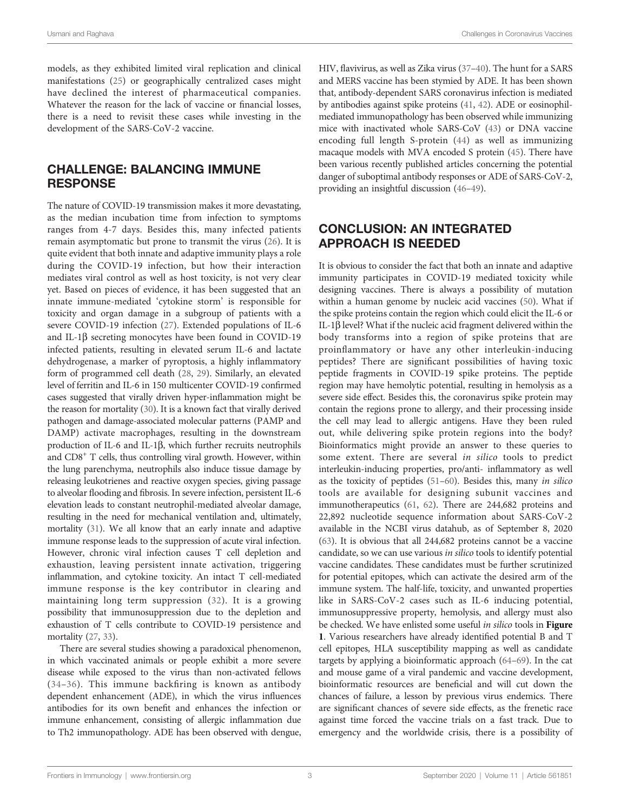Usmani and Raghava Challenges in Coronavirus Vaccines

models, as they exhibited limited viral replication and clinical manifestations ([25\)](#page-3-0) or geographically centralized cases might have declined the interest of pharmaceutical companies. Whatever the reason for the lack of vaccine or financial losses, there is a need to revisit these cases while investing in the development of the SARS-CoV-2 vaccine.

#### CHALLENGE: BALANCING IMMUNE **RESPONSE**

The nature of COVID-19 transmission makes it more devastating, as the median incubation time from infection to symptoms ranges from 4-7 days. Besides this, many infected patients remain asymptomatic but prone to transmit the virus [\(26](#page-3-0)). It is quite evident that both innate and adaptive immunity plays a role during the COVID-19 infection, but how their interaction mediates viral control as well as host toxicity, is not very clear yet. Based on pieces of evidence, it has been suggested that an innate immune-mediated 'cytokine storm' is responsible for toxicity and organ damage in a subgroup of patients with a severe COVID-19 infection ([27\)](#page-3-0). Extended populations of IL-6 and IL-1 $\beta$  secreting monocytes have been found in COVID-19 infected patients, resulting in elevated serum IL-6 and lactate dehydrogenase, a marker of pyroptosis, a highly inflammatory form of programmed cell death ([28,](#page-3-0) [29](#page-3-0)). Similarly, an elevated level of ferritin and IL-6 in 150 multicenter COVID-19 confirmed cases suggested that virally driven hyper-inflammation might be the reason for mortality [\(30\)](#page-3-0). It is a known fact that virally derived pathogen and damage-associated molecular patterns (PAMP and DAMP) activate macrophages, resulting in the downstream production of IL-6 and IL-1 $\beta$ , which further recruits neutrophils and  $CDS<sup>+</sup>$  T cells, thus controlling viral growth. However, within the lung parenchyma, neutrophils also induce tissue damage by releasing leukotrienes and reactive oxygen species, giving passage to alveolar flooding and fibrosis. In severe infection, persistent IL-6 elevation leads to constant neutrophil-mediated alveolar damage, resulting in the need for mechanical ventilation and, ultimately, mortality ([31](#page-3-0)). We all know that an early innate and adaptive immune response leads to the suppression of acute viral infection. However, chronic viral infection causes T cell depletion and exhaustion, leaving persistent innate activation, triggering inflammation, and cytokine toxicity. An intact T cell-mediated immune response is the key contributor in clearing and maintaining long term suppression ([32\)](#page-3-0). It is a growing possibility that immunosuppression due to the depletion and exhaustion of T cells contribute to COVID-19 persistence and mortality [\(27](#page-3-0), [33\)](#page-3-0).

There are several studies showing a paradoxical phenomenon, in which vaccinated animals or people exhibit a more severe disease while exposed to the virus than non-activated fellows ([34](#page-3-0)–[36\)](#page-4-0). This immune backfiring is known as antibody dependent enhancement (ADE), in which the virus influences antibodies for its own benefit and enhances the infection or immune enhancement, consisting of allergic inflammation due to Th2 immunopathology. ADE has been observed with dengue,

HIV, flavivirus, as well as Zika virus [\(37](#page-4-0)–[40\)](#page-4-0). The hunt for a SARS and MERS vaccine has been stymied by ADE. It has been shown that, antibody-dependent SARS coronavirus infection is mediated by antibodies against spike proteins [\(41](#page-4-0), [42](#page-4-0)). ADE or eosinophilmediated immunopathology has been observed while immunizing mice with inactivated whole SARS-CoV [\(43](#page-4-0)) or DNA vaccine encoding full length S-protein ([44](#page-4-0)) as well as immunizing macaque models with MVA encoded S protein ([45\)](#page-4-0). There have been various recently published articles concerning the potential danger of suboptimal antibody responses or ADE of SARS-CoV-2, providing an insightful discussion ([46](#page-4-0)–[49](#page-4-0)).

## CONCLUSION: AN INTEGRATED APPROACH IS NEEDED

It is obvious to consider the fact that both an innate and adaptive immunity participates in COVID-19 mediated toxicity while designing vaccines. There is always a possibility of mutation within a human genome by nucleic acid vaccines ([50\)](#page-4-0). What if the spike proteins contain the region which could elicit the IL-6 or IL-1 $\beta$  level? What if the nucleic acid fragment delivered within the body transforms into a region of spike proteins that are proinflammatory or have any other interleukin-inducing peptides? There are significant possibilities of having toxic peptide fragments in COVID-19 spike proteins. The peptide region may have hemolytic potential, resulting in hemolysis as a severe side effect. Besides this, the coronavirus spike protein may contain the regions prone to allergy, and their processing inside the cell may lead to allergic antigens. Have they been ruled out, while delivering spike protein regions into the body? Bioinformatics might provide an answer to these queries to some extent. There are several in silico tools to predict interleukin-inducing properties, pro/anti- inflammatory as well as the toxicity of peptides [\(51](#page-4-0)–[60](#page-4-0)). Besides this, many in silico tools are available for designing subunit vaccines and immunotherapeutics [\(61](#page-4-0), [62\)](#page-4-0). There are 244,682 proteins and 22,892 nucleotide sequence information about SARS-CoV-2 available in the NCBI virus datahub, as of September 8, 2020 [\(63](#page-4-0)). It is obvious that all 244,682 proteins cannot be a vaccine candidate, so we can use various in silico tools to identify potential vaccine candidates. These candidates must be further scrutinized for potential epitopes, which can activate the desired arm of the immune system. The half-life, toxicity, and unwanted properties like in SARS-CoV-2 cases such as IL-6 inducing potential, immunosuppressive property, hemolysis, and allergy must also be checked. We have enlisted some useful in silico tools in [Figure](#page-1-0) [1](#page-1-0). Various researchers have already identified potential B and T cell epitopes, HLA susceptibility mapping as well as candidate targets by applying a bioinformatic approach ([64](#page-4-0)–[69](#page-4-0)). In the cat and mouse game of a viral pandemic and vaccine development, bioinformatic resources are beneficial and will cut down the chances of failure, a lesson by previous virus endemics. There are significant chances of severe side effects, as the frenetic race against time forced the vaccine trials on a fast track. Due to emergency and the worldwide crisis, there is a possibility of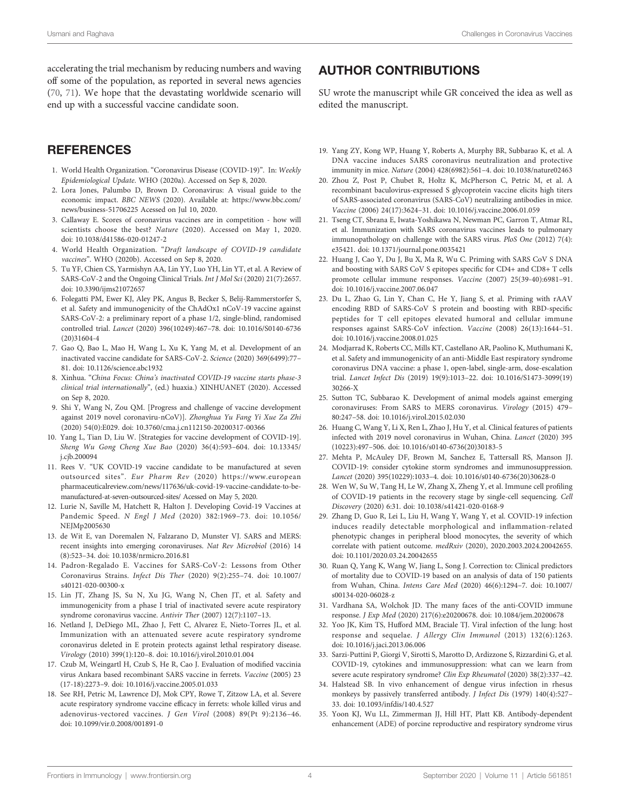<span id="page-3-0"></span>accelerating the trial mechanism by reducing numbers and waving off some of the population, as reported in several news agencies ([70](#page-4-0), [71](#page-4-0)). We hope that the devastating worldwide scenario will end up with a successful vaccine candidate soon.

#### **REFERENCES**

- 1. World Health Organization. "Coronavirus Disease (COVID-19)". In: Weekly Epidemiological Update. WHO (2020a). Accessed on Sep 8, 2020.
- 2. Lora Jones, Palumbo D, Brown D. Coronavirus: A visual guide to the economic impact. BBC NEWS (2020). Available at: [https://www.bbc.com/](https://www.bbc.com/news/business-51706225) [news/business-51706225](https://www.bbc.com/news/business-51706225) Acessed on Jul 10, 2020.
- 3. Callaway E. Scores of coronavirus vaccines are in competition how will scientists choose the best? Nature (2020). Accessed on May 1, 2020. doi: [10.1038/d41586-020-01247-2](https://doi.org/10.1038/d41586-020-01247-2)
- 4. World Health Organization. "Draft landscape of COVID-19 candidate vaccines". WHO (2020b). Accessed on Sep 8, 2020.
- 5. Tu YF, Chien CS, Yarmishyn AA, Lin YY, Luo YH, Lin YT, et al. A Review of SARS-CoV-2 and the Ongoing Clinical Trials. Int J Mol Sci (2020) 21(7):2657. doi: [10.3390/ijms21072657](https://doi.org/10.3390/ijms21072657)
- 6. Folegatti PM, Ewer KJ, Aley PK, Angus B, Becker S, Belij-Rammerstorfer S, et al. Safety and immunogenicity of the ChAdOx1 nCoV-19 vaccine against SARS-CoV-2: a preliminary report of a phase 1/2, single-blind, randomised controlled trial. Lancet (2020) 396(10249):467–78. doi: [10.1016/S0140-6736](https://doi.org/10.1016/S0140-6736(20)31604-4) [\(20\)31604-4](https://doi.org/10.1016/S0140-6736(20)31604-4)
- 7. Gao Q, Bao L, Mao H, Wang L, Xu K, Yang M, et al. Development of an inactivated vaccine candidate for SARS-CoV-2. Science (2020) 369(6499):77– 81. doi: [10.1126/science.abc1932](https://doi.org/10.1126/science.abc1932)
- 8. Xinhua. "China Focus: China's inactivated COVID-19 vaccine starts phase-3 clinical trial internationally", (ed.) huaxia.) XINHUANET (2020). Accessed on Sep 8, 2020.
- 9. Shi Y, Wang N, Zou QM. [Progress and challenge of vaccine development against 2019 novel coronaviru-nCoV)]. Zhonghua Yu Fang Yi Xue Za Zhi (2020) 54(0):E029. doi: [10.3760/cma.j.cn112150-20200317-00366](https://doi.org/10.3760/cma.j.cn112150-20200317-00366)
- 10. Yang L, Tian D, Liu W. [Strategies for vaccine development of COVID-19]. Sheng Wu Gong Cheng Xue Bao (2020) 36(4):593–604. doi: [10.13345/](https://doi.org/10.13345/j.cjb.200094) [j.cjb.200094](https://doi.org/10.13345/j.cjb.200094)
- 11. Rees V. "UK COVID-19 vaccine candidate to be manufactured at seven outsourced sites". Eur Pharm Rev (2020) [https://www.european](https://www.europeanpharmaceuticalreview.com/news/117636/uk-covid-19-vaccine-candidate-to-be-manufactured-at-seven-outsourced-sites/) [pharmaceuticalreview.com/news/117636/uk-covid-19-vaccine-candidate-to-be](https://www.europeanpharmaceuticalreview.com/news/117636/uk-covid-19-vaccine-candidate-to-be-manufactured-at-seven-outsourced-sites/)[manufactured-at-seven-outsourced-sites/](https://www.europeanpharmaceuticalreview.com/news/117636/uk-covid-19-vaccine-candidate-to-be-manufactured-at-seven-outsourced-sites/) Acessed on May 5, 2020.
- 12. Lurie N, Saville M, Hatchett R, Halton J. Developing Covid-19 Vaccines at Pandemic Speed. N Engl J Med (2020) 382:1969–73. doi: [10.1056/](https://doi.org/10.1056/NEJMp2005630) [NEJMp2005630](https://doi.org/10.1056/NEJMp2005630)
- 13. de Wit E, van Doremalen N, Falzarano D, Munster VJ. SARS and MERS: recent insights into emerging coronaviruses. Nat Rev Microbiol (2016) 14 (8):523–34. doi: [10.1038/nrmicro.2016.81](https://doi.org/10.1038/nrmicro.2016.81)
- 14. Padron-Regalado E. Vaccines for SARS-CoV-2: Lessons from Other Coronavirus Strains. Infect Dis Ther (2020) 9(2):255–74. doi: [10.1007/](https://doi.org/10.1007/s40121-020-00300-x) [s40121-020-00300-x](https://doi.org/10.1007/s40121-020-00300-x)
- 15. Lin JT, Zhang JS, Su N, Xu JG, Wang N, Chen JT, et al. Safety and immunogenicity from a phase I trial of inactivated severe acute respiratory syndrome coronavirus vaccine. Antivir Ther (2007) 12(7):1107–13.
- 16. Netland J, DeDiego ML, Zhao J, Fett C, Alvarez E, Nieto-Torres JL, et al. Immunization with an attenuated severe acute respiratory syndrome coronavirus deleted in E protein protects against lethal respiratory disease. Virology (2010) 399(1):120–8. doi: [10.1016/j.virol.2010.01.004](https://doi.org/10.1016/j.virol.2010.01.004)
- 17. Czub M, Weingartl H, Czub S, He R, Cao J. Evaluation of modified vaccinia virus Ankara based recombinant SARS vaccine in ferrets. Vaccine (2005) 23 (17-18):2273–9. doi: [10.1016/j.vaccine.2005.01.033](https://doi.org/10.1016/j.vaccine.2005.01.033)
- 18. See RH, Petric M, Lawrence DJ, Mok CPY, Rowe T, Zitzow LA, et al. Severe acute respiratory syndrome vaccine efficacy in ferrets: whole killed virus and adenovirus-vectored vaccines. J Gen Virol (2008) 89(Pt 9):2136–46. doi: [10.1099/vir.0.2008/001891-0](https://doi.org/10.1099/vir.0.2008/001891-0)

## AUTHOR CONTRIBUTIONS

SU wrote the manuscript while GR conceived the idea as well as edited the manuscript.

- 19. Yang ZY, Kong WP, Huang Y, Roberts A, Murphy BR, Subbarao K, et al. A DNA vaccine induces SARS coronavirus neutralization and protective immunity in mice. Nature (2004) 428(6982):561–4. doi: [10.1038/nature02463](https://doi.org/10.1038/nature02463)
- 20. Zhou Z, Post P, Chubet R, Holtz K, McPherson C, Petric M, et al. A recombinant baculovirus-expressed S glycoprotein vaccine elicits high titers of SARS-associated coronavirus (SARS-CoV) neutralizing antibodies in mice. Vaccine (2006) 24(17):3624–31. doi: [10.1016/j.vaccine.2006.01.059](https://doi.org/10.1016/j.vaccine.2006.01.059)
- 21. Tseng CT, Sbrana E, Iwata-Yoshikawa N, Newman PC, Garron T, Atmar RL, et al. Immunization with SARS coronavirus vaccines leads to pulmonary immunopathology on challenge with the SARS virus. PloS One (2012) 7(4): e35421. doi: [10.1371/journal.pone.0035421](https://doi.org/10.1371/journal.pone.0035421)
- 22. Huang J, Cao Y, Du J, Bu X, Ma R, Wu C. Priming with SARS CoV S DNA and boosting with SARS CoV S epitopes specific for CD4+ and CD8+ T cells promote cellular immune responses. Vaccine (2007) 25(39-40):6981–91. doi: [10.1016/j.vaccine.2007.06.047](https://doi.org/10.1016/j.vaccine.2007.06.047)
- 23. Du L, Zhao G, Lin Y, Chan C, He Y, Jiang S, et al. Priming with rAAV encoding RBD of SARS-CoV S protein and boosting with RBD-specific peptides for T cell epitopes elevated humoral and cellular immune responses against SARS-CoV infection. Vaccine (2008) 26(13):1644–51. doi: [10.1016/j.vaccine.2008.01.025](https://doi.org/10.1016/j.vaccine.2008.01.025)
- 24. Modjarrad K, Roberts CC, Mills KT, Castellano AR, Paolino K, Muthumani K, et al. Safety and immunogenicity of an anti-Middle East respiratory syndrome coronavirus DNA vaccine: a phase 1, open-label, single-arm, dose-escalation trial. Lancet Infect Dis (2019) 19(9):1013–22. doi: [10.1016/S1473-3099\(19\)](https://doi.org/10.1016/S1473-3099(19)30266-X) [30266-X](https://doi.org/10.1016/S1473-3099(19)30266-X)
- 25. Sutton TC, Subbarao K. Development of animal models against emerging coronaviruses: From SARS to MERS coronavirus. Virology (2015) 479– 80:247–58. doi: [10.1016/j.virol.2015.02.030](https://doi.org/10.1016/j.virol.2015.02.030)
- 26. Huang C, Wang Y, Li X, Ren L, Zhao J, Hu Y, et al. Clinical features of patients infected with 2019 novel coronavirus in Wuhan, China. Lancet (2020) 395 (10223):497–506. doi: [10.1016/s0140-6736\(20\)30183-5](https://doi.org/10.1016/s0140-6736(20)30183-5)
- 27. Mehta P, McAuley DF, Brown M, Sanchez E, Tattersall RS, Manson JJ. COVID-19: consider cytokine storm syndromes and immunosuppression. Lancet (2020) 395(10229):1033–4. doi: [10.1016/s0140-6736\(20\)30628-0](https://doi.org/10.1016/s0140-6736(20)30628-0)
- 28. Wen W, Su W, Tang H, Le W, Zhang X, Zheng Y, et al. Immune cell profiling of COVID-19 patients in the recovery stage by single-cell sequencing. Cell Discovery (2020) 6:31. doi: [10.1038/s41421-020-0168-9](https://doi.org/10.1038/s41421-020-0168-9)
- 29. Zhang D, Guo R, Lei L, Liu H, Wang Y, Wang Y, et al. COVID-19 infection induces readily detectable morphological and inflammation-related phenotypic changes in peripheral blood monocytes, the severity of which correlate with patient outcome. medRxiv (2020), 2020.2003.2024.20042655. doi: [10.1101/2020.03.24.20042655](https://doi.org/10.1101/2020.03.24.20042655)
- 30. Ruan Q, Yang K, Wang W, Jiang L, Song J. Correction to: Clinical predictors of mortality due to COVID-19 based on an analysis of data of 150 patients from Wuhan, China. Intens Care Med (2020) 46(6):1294–7. doi: [10.1007/](https://doi.org/10.1007/s00134-020-06028-z) [s00134-020-06028-z](https://doi.org/10.1007/s00134-020-06028-z)
- 31. Vardhana SA, Wolchok JD. The many faces of the anti-COVID immune response. J Exp Med (2020) 217(6):e20200678. doi: [10.1084/jem.20200678](https://doi.org/10.1084/jem.20200678)
- 32. Yoo JK, Kim TS, Hufford MM, Braciale TJ. Viral infection of the lung: host response and sequelae. J Allergy Clin Immunol (2013) 132(6):1263. doi: [10.1016/j.jaci.2013.06.006](https://doi.org/10.1016/j.jaci.2013.06.006)
- 33. Sarzi-Puttini P, Giorgi V, Sirotti S, Marotto D, Ardizzone S, Rizzardini G, et al. COVID-19, cytokines and immunosuppression: what can we learn from severe acute respiratory syndrome? Clin Exp Rheumatol (2020) 38(2):337–42.
- 34. Halstead SB. In vivo enhancement of dengue virus infection in rhesus monkeys by passively transferred antibody. J Infect Dis (1979) 140(4):527– 33. doi: [10.1093/infdis/140.4.527](https://doi.org/10.1093/infdis/140.4.527)
- 35. Yoon KJ, Wu LL, Zimmerman JJ, Hill HT, Platt KB. Antibody-dependent enhancement (ADE) of porcine reproductive and respiratory syndrome virus